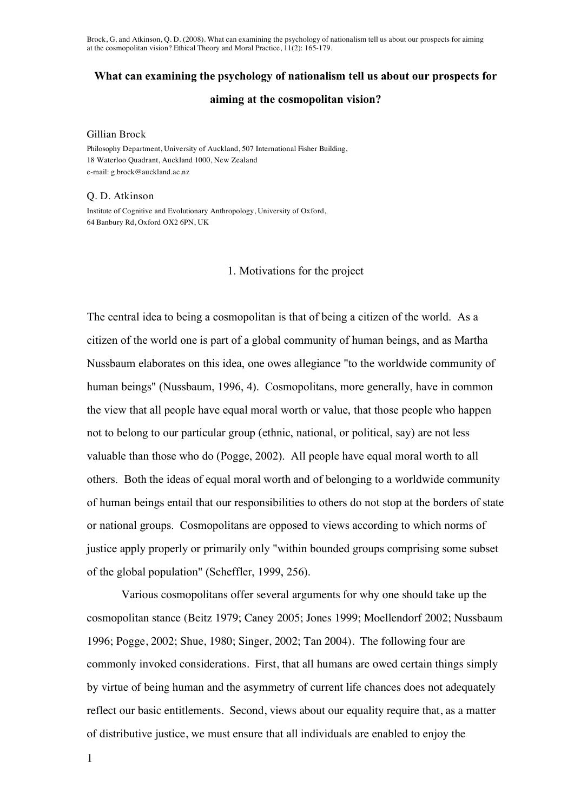## **What can examining the psychology of nationalism tell us about our prospects for**

### **aiming at the cosmopolitan vision?**

#### Gillian Brock

Philosophy Department, University of Auckland, 507 International Fisher Building, 18 Waterloo Quadrant, Auckland 1000, New Zealand e-mail: g.brock@auckland.ac.nz

#### Q. D. Atkinson

Institute of Cognitive and Evolutionary Anthropology, University of Oxford, 64 Banbury Rd, Oxford OX2 6PN, UK

### 1. Motivations for the project

The central idea to being a cosmopolitan is that of being a citizen of the world. As a citizen of the world one is part of a global community of human beings, and as Martha Nussbaum elaborates on this idea, one owes allegiance "to the worldwide community of human beings" (Nussbaum, 1996, 4). Cosmopolitans, more generally, have in common the view that all people have equal moral worth or value, that those people who happen not to belong to our particular group (ethnic, national, or political, say) are not less valuable than those who do (Pogge, 2002). All people have equal moral worth to all others. Both the ideas of equal moral worth and of belonging to a worldwide community of human beings entail that our responsibilities to others do not stop at the borders of state or national groups. Cosmopolitans are opposed to views according to which norms of justice apply properly or primarily only "within bounded groups comprising some subset of the global population" (Scheffler, 1999, 256).

Various cosmopolitans offer several arguments for why one should take up the cosmopolitan stance (Beitz 1979; Caney 2005; Jones 1999; Moellendorf 2002; Nussbaum 1996; Pogge, 2002; Shue, 1980; Singer, 2002; Tan 2004). The following four are commonly invoked considerations. First, that all humans are owed certain things simply by virtue of being human and the asymmetry of current life chances does not adequately reflect our basic entitlements. Second, views about our equality require that, as a matter of distributive justice, we must ensure that all individuals are enabled to enjoy the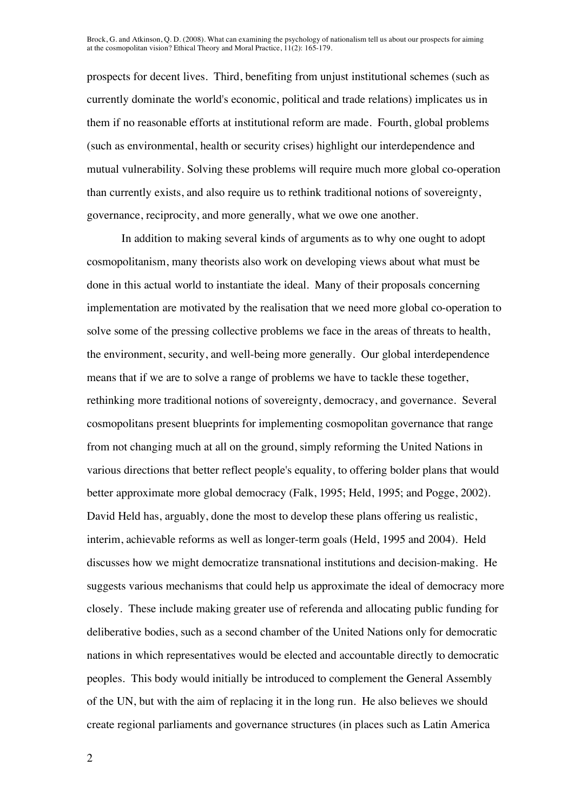prospects for decent lives. Third, benefiting from unjust institutional schemes (such as currently dominate the world's economic, political and trade relations) implicates us in them if no reasonable efforts at institutional reform are made. Fourth, global problems (such as environmental, health or security crises) highlight our interdependence and mutual vulnerability. Solving these problems will require much more global co-operation than currently exists, and also require us to rethink traditional notions of sovereignty, governance, reciprocity, and more generally, what we owe one another.

In addition to making several kinds of arguments as to why one ought to adopt cosmopolitanism, many theorists also work on developing views about what must be done in this actual world to instantiate the ideal. Many of their proposals concerning implementation are motivated by the realisation that we need more global co-operation to solve some of the pressing collective problems we face in the areas of threats to health, the environment, security, and well-being more generally. Our global interdependence means that if we are to solve a range of problems we have to tackle these together, rethinking more traditional notions of sovereignty, democracy, and governance. Several cosmopolitans present blueprints for implementing cosmopolitan governance that range from not changing much at all on the ground, simply reforming the United Nations in various directions that better reflect people's equality, to offering bolder plans that would better approximate more global democracy (Falk, 1995; Held, 1995; and Pogge, 2002). David Held has, arguably, done the most to develop these plans offering us realistic, interim, achievable reforms as well as longer-term goals (Held, 1995 and 2004). Held discusses how we might democratize transnational institutions and decision-making. He suggests various mechanisms that could help us approximate the ideal of democracy more closely. These include making greater use of referenda and allocating public funding for deliberative bodies, such as a second chamber of the United Nations only for democratic nations in which representatives would be elected and accountable directly to democratic peoples. This body would initially be introduced to complement the General Assembly of the UN, but with the aim of replacing it in the long run. He also believes we should create regional parliaments and governance structures (in places such as Latin America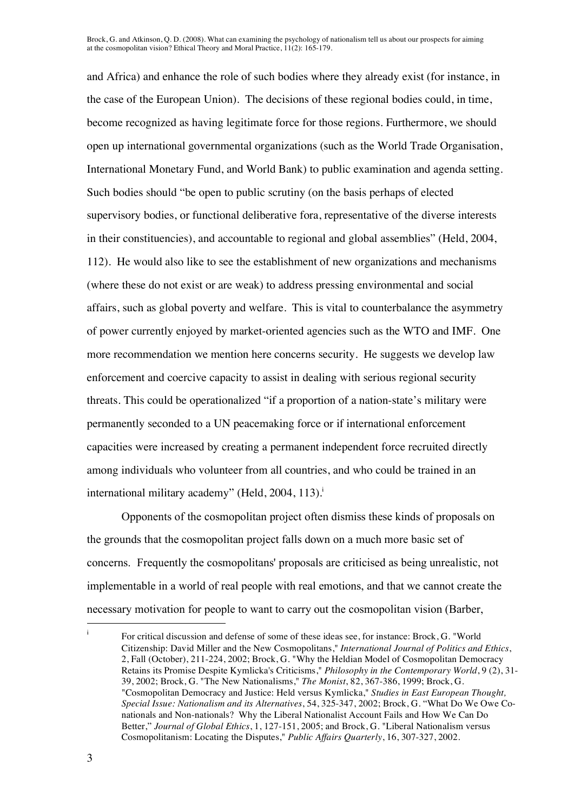and Africa) and enhance the role of such bodies where they already exist (for instance, in the case of the European Union). The decisions of these regional bodies could, in time, become recognized as having legitimate force for those regions. Furthermore, we should open up international governmental organizations (such as the World Trade Organisation, International Monetary Fund, and World Bank) to public examination and agenda setting. Such bodies should "be open to public scrutiny (on the basis perhaps of elected supervisory bodies, or functional deliberative fora, representative of the diverse interests in their constituencies), and accountable to regional and global assemblies" (Held, 2004, 112). He would also like to see the establishment of new organizations and mechanisms (where these do not exist or are weak) to address pressing environmental and social affairs, such as global poverty and welfare. This is vital to counterbalance the asymmetry of power currently enjoyed by market-oriented agencies such as the WTO and IMF. One more recommendation we mention here concerns security. He suggests we develop law enforcement and coercive capacity to assist in dealing with serious regional security threats. This could be operationalized "if a proportion of a nation-state's military were permanently seconded to a UN peacemaking force or if international enforcement capacities were increased by creating a permanent independent force recruited directly among individuals who volunteer from all countries, and who could be trained in an international military academy" (Held,  $2004$ ,  $113$ ).<sup>i</sup>

Opponents of the cosmopolitan project often dismiss these kinds of proposals on the grounds that the cosmopolitan project falls down on a much more basic set of concerns. Frequently the cosmopolitans' proposals are criticised as being unrealistic, not implementable in a world of real people with real emotions, and that we cannot create the necessary motivation for people to want to carry out the cosmopolitan vision (Barber,

i For critical discussion and defense of some of these ideas see, for instance: Brock, G. "World Citizenship: David Miller and the New Cosmopolitans," *International Journal of Politics and Ethics*, 2, Fall (October), 211-224, 2002; Brock, G. "Why the Heldian Model of Cosmopolitan Democracy Retains its Promise Despite Kymlicka's Criticisms," *Philosophy in the Contemporary World*, 9 (2), 31- 39, 2002; Brock, G. "The New Nationalisms," *The Monist*, 82, 367-386, 1999; Brock, G. "Cosmopolitan Democracy and Justice: Held versus Kymlicka," *Studies in East European Thought, Special Issue: Nationalism and its Alternatives*, 54, 325-347, 2002; Brock, G. "What Do We Owe Conationals and Non-nationals? Why the Liberal Nationalist Account Fails and How We Can Do Better," *Journal of Global Ethics*, 1, 127-151, 2005; and Brock, G. "Liberal Nationalism versus Cosmopolitanism: Locating the Disputes," *Public Affairs Quarterly*, 16, 307-327, 2002.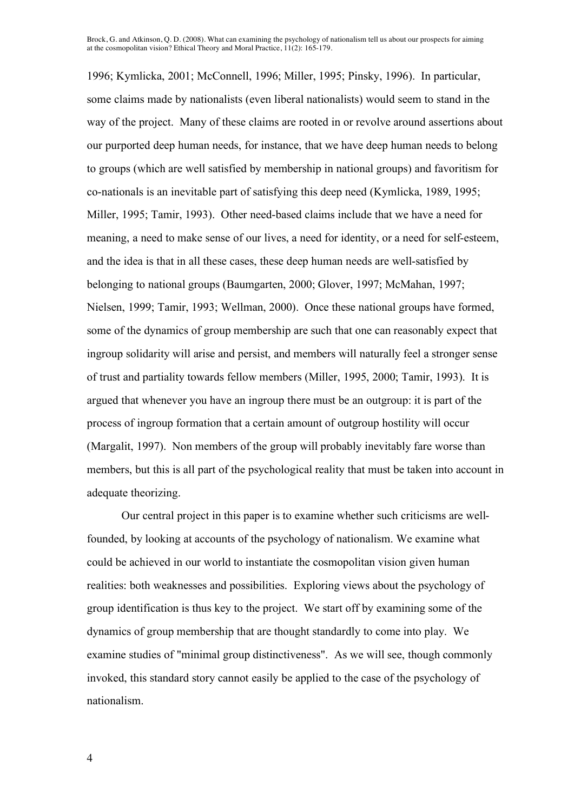1996; Kymlicka, 2001; McConnell, 1996; Miller, 1995; Pinsky, 1996). In particular, some claims made by nationalists (even liberal nationalists) would seem to stand in the way of the project. Many of these claims are rooted in or revolve around assertions about our purported deep human needs, for instance, that we have deep human needs to belong to groups (which are well satisfied by membership in national groups) and favoritism for co-nationals is an inevitable part of satisfying this deep need (Kymlicka, 1989, 1995; Miller, 1995; Tamir, 1993). Other need-based claims include that we have a need for meaning, a need to make sense of our lives, a need for identity, or a need for self-esteem, and the idea is that in all these cases, these deep human needs are well-satisfied by belonging to national groups (Baumgarten, 2000; Glover, 1997; McMahan, 1997; Nielsen, 1999; Tamir, 1993; Wellman, 2000). Once these national groups have formed, some of the dynamics of group membership are such that one can reasonably expect that ingroup solidarity will arise and persist, and members will naturally feel a stronger sense of trust and partiality towards fellow members (Miller, 1995, 2000; Tamir, 1993). It is argued that whenever you have an ingroup there must be an outgroup: it is part of the process of ingroup formation that a certain amount of outgroup hostility will occur (Margalit, 1997). Non members of the group will probably inevitably fare worse than members, but this is all part of the psychological reality that must be taken into account in adequate theorizing.

Our central project in this paper is to examine whether such criticisms are wellfounded, by looking at accounts of the psychology of nationalism. We examine what could be achieved in our world to instantiate the cosmopolitan vision given human realities: both weaknesses and possibilities. Exploring views about the psychology of group identification is thus key to the project. We start off by examining some of the dynamics of group membership that are thought standardly to come into play. We examine studies of "minimal group distinctiveness". As we will see, though commonly invoked, this standard story cannot easily be applied to the case of the psychology of nationalism.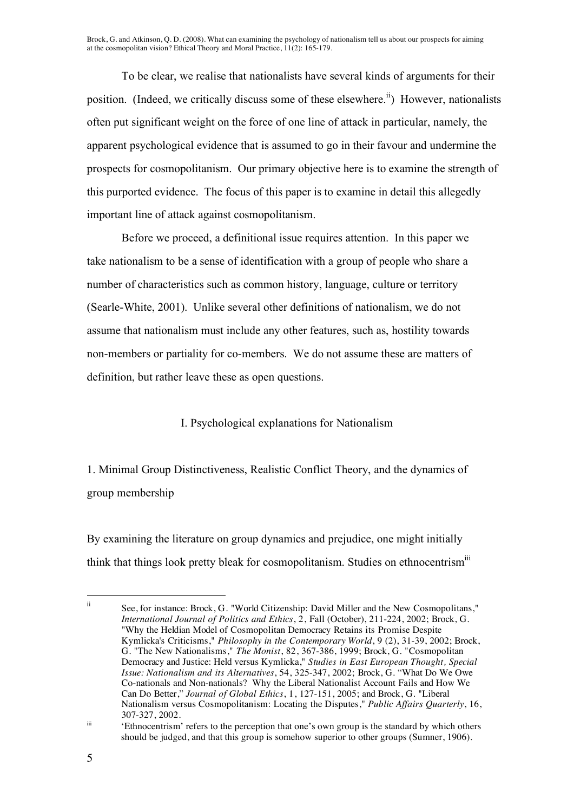To be clear, we realise that nationalists have several kinds of arguments for their position. (Indeed, we critically discuss some of these elsewhere.<sup>ii</sup>) However, nationalists often put significant weight on the force of one line of attack in particular, namely, the apparent psychological evidence that is assumed to go in their favour and undermine the prospects for cosmopolitanism. Our primary objective here is to examine the strength of this purported evidence. The focus of this paper is to examine in detail this allegedly important line of attack against cosmopolitanism.

Before we proceed, a definitional issue requires attention. In this paper we take nationalism to be a sense of identification with a group of people who share a number of characteristics such as common history, language, culture or territory (Searle-White, 2001). Unlike several other definitions of nationalism, we do not assume that nationalism must include any other features, such as, hostility towards non-members or partiality for co-members. We do not assume these are matters of definition, but rather leave these as open questions.

I. Psychological explanations for Nationalism

1. Minimal Group Distinctiveness, Realistic Conflict Theory, and the dynamics of group membership

By examining the literature on group dynamics and prejudice, one might initially think that things look pretty bleak for cosmopolitanism. Studies on ethnocentrism<sup>111</sup>

ii See, for instance: Brock, G. "World Citizenship: David Miller and the New Cosmopolitans," *International Journal of Politics and Ethics*, 2, Fall (October), 211-224, 2002; Brock, G. "Why the Heldian Model of Cosmopolitan Democracy Retains its Promise Despite Kymlicka's Criticisms," *Philosophy in the Contemporary World*, 9 (2), 31-39, 2002; Brock, G. "The New Nationalisms," *The Monist*, 82, 367-386, 1999; Brock, G. "Cosmopolitan Democracy and Justice: Held versus Kymlicka," *Studies in East European Thought, Special Issue: Nationalism and its Alternatives*, 54, 325-347, 2002; Brock, G. "What Do We Owe Co-nationals and Non-nationals? Why the Liberal Nationalist Account Fails and How We Can Do Better," *Journal of Global Ethics*, 1, 127-151, 2005; and Brock, G. "Liberal Nationalism versus Cosmopolitanism: Locating the Disputes," *Public Affairs Quarterly*, 16, 307-327, 2002.

iii 'Ethnocentrism' refers to the perception that one's own group is the standard by which others should be judged, and that this group is somehow superior to other groups (Sumner, 1906).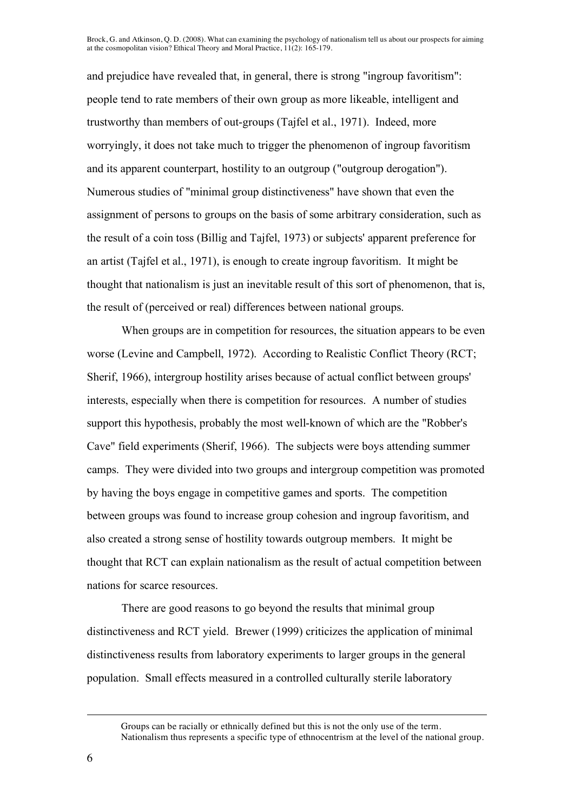and prejudice have revealed that, in general, there is strong "ingroup favoritism": people tend to rate members of their own group as more likeable, intelligent and trustworthy than members of out-groups (Tajfel et al., 1971). Indeed, more worryingly, it does not take much to trigger the phenomenon of ingroup favoritism and its apparent counterpart, hostility to an outgroup ("outgroup derogation"). Numerous studies of "minimal group distinctiveness" have shown that even the assignment of persons to groups on the basis of some arbitrary consideration, such as the result of a coin toss (Billig and Tajfel, 1973) or subjects' apparent preference for an artist (Tajfel et al., 1971), is enough to create ingroup favoritism. It might be thought that nationalism is just an inevitable result of this sort of phenomenon, that is, the result of (perceived or real) differences between national groups.

When groups are in competition for resources, the situation appears to be even worse (Levine and Campbell, 1972). According to Realistic Conflict Theory (RCT; Sherif, 1966), intergroup hostility arises because of actual conflict between groups' interests, especially when there is competition for resources. A number of studies support this hypothesis, probably the most well-known of which are the "Robber's Cave" field experiments (Sherif, 1966). The subjects were boys attending summer camps. They were divided into two groups and intergroup competition was promoted by having the boys engage in competitive games and sports. The competition between groups was found to increase group cohesion and ingroup favoritism, and also created a strong sense of hostility towards outgroup members. It might be thought that RCT can explain nationalism as the result of actual competition between nations for scarce resources.

There are good reasons to go beyond the results that minimal group distinctiveness and RCT yield. Brewer (1999) criticizes the application of minimal distinctiveness results from laboratory experiments to larger groups in the general population. Small effects measured in a controlled culturally sterile laboratory

Groups can be racially or ethnically defined but this is not the only use of the term. Nationalism thus represents a specific type of ethnocentrism at the level of the national group.

 $\overline{a}$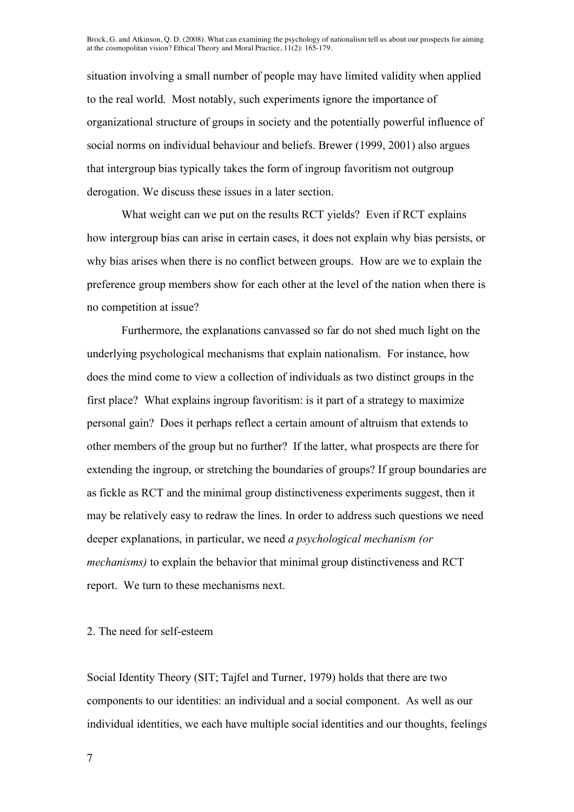situation involving a small number of people may have limited validity when applied to the real world. Most notably, such experiments ignore the importance of organizational structure of groups in society and the potentially powerful influence of social norms on individual behaviour and beliefs. Brewer (1999, 2001) also argues that intergroup bias typically takes the form of ingroup favoritism not outgroup derogation. We discuss these issues in a later section.

What weight can we put on the results RCT yields? Even if RCT explains how intergroup bias can arise in certain cases, it does not explain why bias persists, or why bias arises when there is no conflict between groups. How are we to explain the preference group members show for each other at the level of the nation when there is no competition at issue?

Furthermore, the explanations canvassed so far do not shed much light on the underlying psychological mechanisms that explain nationalism. For instance, how does the mind come to view a collection of individuals as two distinct groups in the first place? What explains ingroup favoritism: is it part of a strategy to maximize personal gain? Does it perhaps reflect a certain amount of altruism that extends to other members of the group but no further? If the latter, what prospects are there for extending the ingroup, or stretching the boundaries of groups? If group boundaries are as fickle as RCT and the minimal group distinctiveness experiments suggest, then it may be relatively easy to redraw the lines. In order to address such questions we need deeper explanations, in particular, we need *a psychological mechanism (or mechanisms)* to explain the behavior that minimal group distinctiveness and RCT report. We turn to these mechanisms next.

# 2. The need for self-esteem

Social Identity Theory (SIT; Tajfel and Turner, 1979) holds that there are two components to our identities: an individual and a social component. As well as our individual identities, we each have multiple social identities and our thoughts, feelings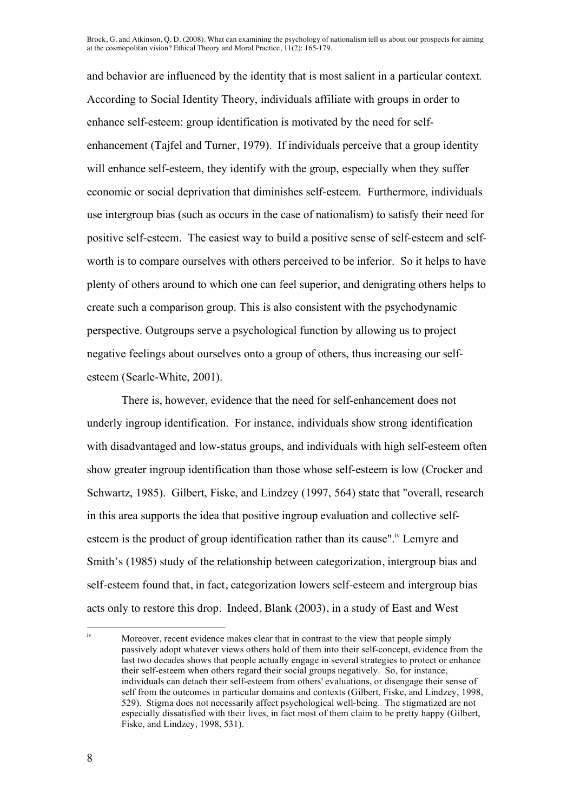and behavior are influenced by the identity that is most salient in a particular context. According to Social Identity Theory, individuals affiliate with groups in order to enhance self-esteem: group identification is motivated by the need for selfenhancement (Tajfel and Turner, 1979). If individuals perceive that a group identity will enhance self-esteem, they identify with the group, especially when they suffer economic or social deprivation that diminishes self-esteem. Furthermore, individuals use intergroup bias (such as occurs in the case of nationalism) to satisfy their need for positive self-esteem. The easiest way to build a positive sense of self-esteem and selfworth is to compare ourselves with others perceived to be inferior. So it helps to have plenty of others around to which one can feel superior, and denigrating others helps to create such a comparison group. This is also consistent with the psychodynamic perspective. Outgroups serve a psychological function by allowing us to project negative feelings about ourselves onto a group of others, thus increasing our selfesteem (Searle-White, 2001).

There is, however, evidence that the need for self-enhancement does not underly ingroup identification. For instance, individuals show strong identification with disadvantaged and low-status groups, and individuals with high self-esteem often show greater ingroup identification than those whose self-esteem is low (Crocker and Schwartz, 1985). Gilbert, Fiske, and Lindzey (1997, 564) state that "overall, research in this area supports the idea that positive ingroup evaluation and collective selfesteem is the product of group identification rather than its cause".<sup>iv</sup> Lemyre and Smith's (1985) study of the relationship between categorization, intergroup bias and self-esteem found that, in fact, categorization lowers self-esteem and intergroup bias acts only to restore this drop. Indeed, Blank (2003), in a study of East and West

iv Moreover, recent evidence makes clear that in contrast to the view that people simply passively adopt whatever views others hold of them into their self-concept, evidence from the last two decades shows that people actually engage in several strategies to protect or enhance their self-esteem when others regard their social groups negatively. So, for instance, individuals can detach their self-esteem from others' evaluations, or disengage their sense of self from the outcomes in particular domains and contexts (Gilbert, Fiske, and Lindzey, 1998, 529). Stigma does not necessarily affect psychological well-being. The stigmatized are not especially dissatisfied with their lives, in fact most of them claim to be pretty happy (Gilbert, Fiske, and Lindzey, 1998, 531).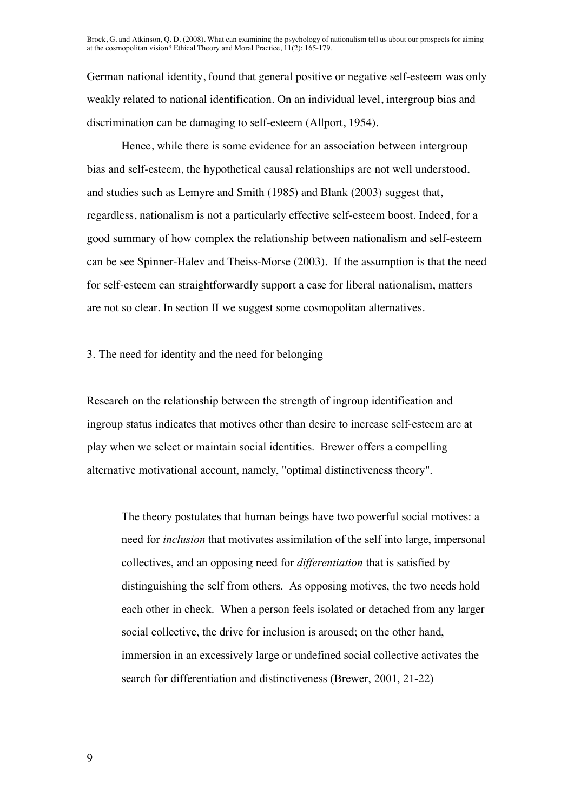German national identity, found that general positive or negative self-esteem was only weakly related to national identification. On an individual level, intergroup bias and discrimination can be damaging to self-esteem (Allport, 1954).

Hence, while there is some evidence for an association between intergroup bias and self-esteem, the hypothetical causal relationships are not well understood, and studies such as Lemyre and Smith (1985) and Blank (2003) suggest that, regardless, nationalism is not a particularly effective self-esteem boost. Indeed, for a good summary of how complex the relationship between nationalism and self-esteem can be see Spinner-Halev and Theiss-Morse (2003). If the assumption is that the need for self-esteem can straightforwardly support a case for liberal nationalism, matters are not so clear. In section II we suggest some cosmopolitan alternatives.

3. The need for identity and the need for belonging

Research on the relationship between the strength of ingroup identification and ingroup status indicates that motives other than desire to increase self-esteem are at play when we select or maintain social identities. Brewer offers a compelling alternative motivational account, namely, "optimal distinctiveness theory".

The theory postulates that human beings have two powerful social motives: a need for *inclusion* that motivates assimilation of the self into large, impersonal collectives, and an opposing need for *differentiation* that is satisfied by distinguishing the self from others. As opposing motives, the two needs hold each other in check. When a person feels isolated or detached from any larger social collective, the drive for inclusion is aroused; on the other hand, immersion in an excessively large or undefined social collective activates the search for differentiation and distinctiveness (Brewer, 2001, 21-22)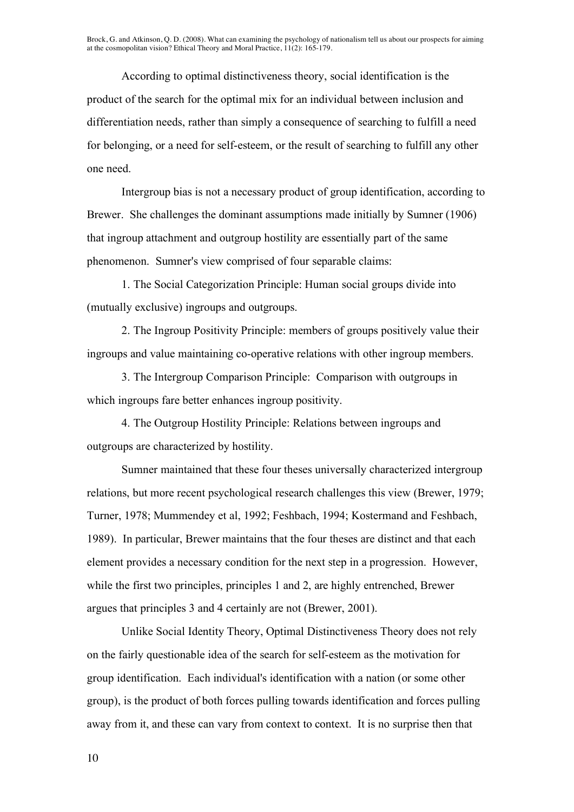According to optimal distinctiveness theory, social identification is the product of the search for the optimal mix for an individual between inclusion and differentiation needs, rather than simply a consequence of searching to fulfill a need for belonging, or a need for self-esteem, or the result of searching to fulfill any other one need.

Intergroup bias is not a necessary product of group identification, according to Brewer. She challenges the dominant assumptions made initially by Sumner (1906) that ingroup attachment and outgroup hostility are essentially part of the same phenomenon. Sumner's view comprised of four separable claims:

1. The Social Categorization Principle: Human social groups divide into (mutually exclusive) ingroups and outgroups.

2. The Ingroup Positivity Principle: members of groups positively value their ingroups and value maintaining co-operative relations with other ingroup members.

3. The Intergroup Comparison Principle: Comparison with outgroups in which ingroups fare better enhances ingroup positivity.

4. The Outgroup Hostility Principle: Relations between ingroups and outgroups are characterized by hostility.

Sumner maintained that these four theses universally characterized intergroup relations, but more recent psychological research challenges this view (Brewer, 1979; Turner, 1978; Mummendey et al, 1992; Feshbach, 1994; Kostermand and Feshbach, 1989). In particular, Brewer maintains that the four theses are distinct and that each element provides a necessary condition for the next step in a progression. However, while the first two principles, principles 1 and 2, are highly entrenched, Brewer argues that principles 3 and 4 certainly are not (Brewer, 2001).

Unlike Social Identity Theory, Optimal Distinctiveness Theory does not rely on the fairly questionable idea of the search for self-esteem as the motivation for group identification. Each individual's identification with a nation (or some other group), is the product of both forces pulling towards identification and forces pulling away from it, and these can vary from context to context. It is no surprise then that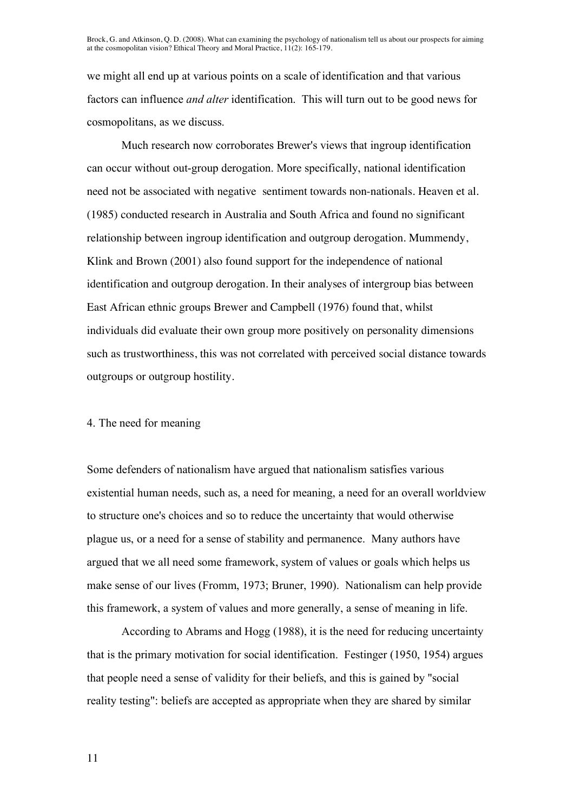we might all end up at various points on a scale of identification and that various factors can influence *and alter* identification. This will turn out to be good news for cosmopolitans, as we discuss.

Much research now corroborates Brewer's views that ingroup identification can occur without out-group derogation. More specifically, national identification need not be associated with negative sentiment towards non-nationals. Heaven et al. (1985) conducted research in Australia and South Africa and found no significant relationship between ingroup identification and outgroup derogation. Mummendy, Klink and Brown (2001) also found support for the independence of national identification and outgroup derogation. In their analyses of intergroup bias between East African ethnic groups Brewer and Campbell (1976) found that, whilst individuals did evaluate their own group more positively on personality dimensions such as trustworthiness, this was not correlated with perceived social distance towards outgroups or outgroup hostility.

## 4. The need for meaning

Some defenders of nationalism have argued that nationalism satisfies various existential human needs, such as, a need for meaning, a need for an overall worldview to structure one's choices and so to reduce the uncertainty that would otherwise plague us, or a need for a sense of stability and permanence. Many authors have argued that we all need some framework, system of values or goals which helps us make sense of our lives (Fromm, 1973; Bruner, 1990). Nationalism can help provide this framework, a system of values and more generally, a sense of meaning in life.

According to Abrams and Hogg (1988), it is the need for reducing uncertainty that is the primary motivation for social identification. Festinger (1950, 1954) argues that people need a sense of validity for their beliefs, and this is gained by "social reality testing": beliefs are accepted as appropriate when they are shared by similar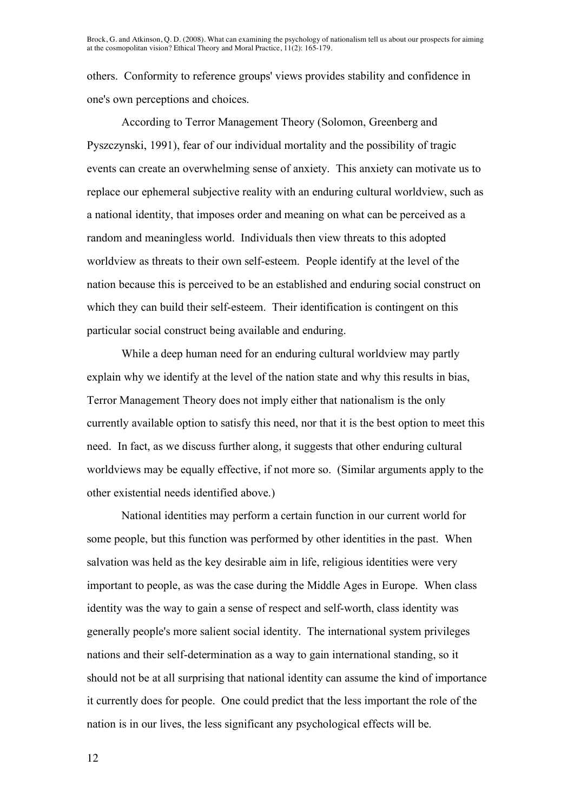others. Conformity to reference groups' views provides stability and confidence in one's own perceptions and choices.

According to Terror Management Theory (Solomon, Greenberg and Pyszczynski, 1991), fear of our individual mortality and the possibility of tragic events can create an overwhelming sense of anxiety. This anxiety can motivate us to replace our ephemeral subjective reality with an enduring cultural worldview, such as a national identity, that imposes order and meaning on what can be perceived as a random and meaningless world. Individuals then view threats to this adopted worldview as threats to their own self-esteem. People identify at the level of the nation because this is perceived to be an established and enduring social construct on which they can build their self-esteem. Their identification is contingent on this particular social construct being available and enduring.

While a deep human need for an enduring cultural worldview may partly explain why we identify at the level of the nation state and why this results in bias, Terror Management Theory does not imply either that nationalism is the only currently available option to satisfy this need, nor that it is the best option to meet this need. In fact, as we discuss further along, it suggests that other enduring cultural worldviews may be equally effective, if not more so. (Similar arguments apply to the other existential needs identified above.)

National identities may perform a certain function in our current world for some people, but this function was performed by other identities in the past. When salvation was held as the key desirable aim in life, religious identities were very important to people, as was the case during the Middle Ages in Europe. When class identity was the way to gain a sense of respect and self-worth, class identity was generally people's more salient social identity. The international system privileges nations and their self-determination as a way to gain international standing, so it should not be at all surprising that national identity can assume the kind of importance it currently does for people. One could predict that the less important the role of the nation is in our lives, the less significant any psychological effects will be.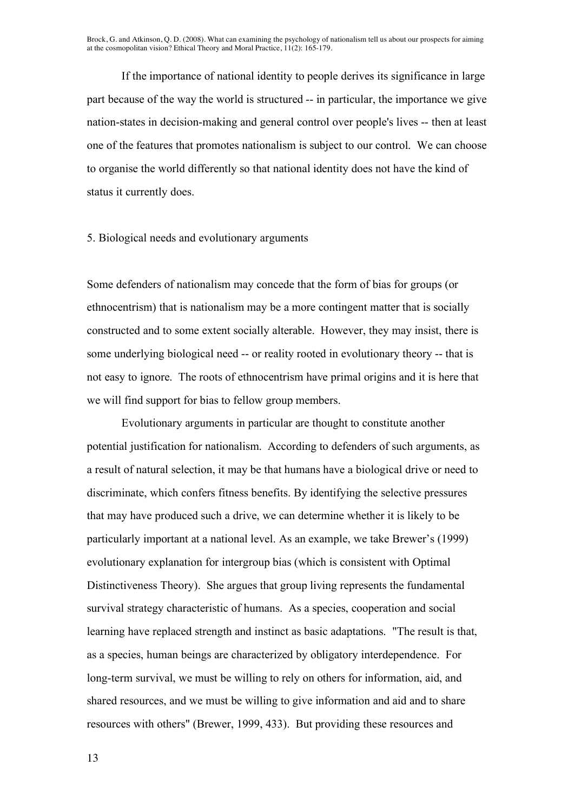If the importance of national identity to people derives its significance in large part because of the way the world is structured -- in particular, the importance we give nation-states in decision-making and general control over people's lives -- then at least one of the features that promotes nationalism is subject to our control. We can choose to organise the world differently so that national identity does not have the kind of status it currently does.

5. Biological needs and evolutionary arguments

Some defenders of nationalism may concede that the form of bias for groups (or ethnocentrism) that is nationalism may be a more contingent matter that is socially constructed and to some extent socially alterable. However, they may insist, there is some underlying biological need -- or reality rooted in evolutionary theory -- that is not easy to ignore. The roots of ethnocentrism have primal origins and it is here that we will find support for bias to fellow group members.

Evolutionary arguments in particular are thought to constitute another potential justification for nationalism. According to defenders of such arguments, as a result of natural selection, it may be that humans have a biological drive or need to discriminate, which confers fitness benefits. By identifying the selective pressures that may have produced such a drive, we can determine whether it is likely to be particularly important at a national level. As an example, we take Brewer's (1999) evolutionary explanation for intergroup bias (which is consistent with Optimal Distinctiveness Theory). She argues that group living represents the fundamental survival strategy characteristic of humans. As a species, cooperation and social learning have replaced strength and instinct as basic adaptations. "The result is that, as a species, human beings are characterized by obligatory interdependence. For long-term survival, we must be willing to rely on others for information, aid, and shared resources, and we must be willing to give information and aid and to share resources with others" (Brewer, 1999, 433). But providing these resources and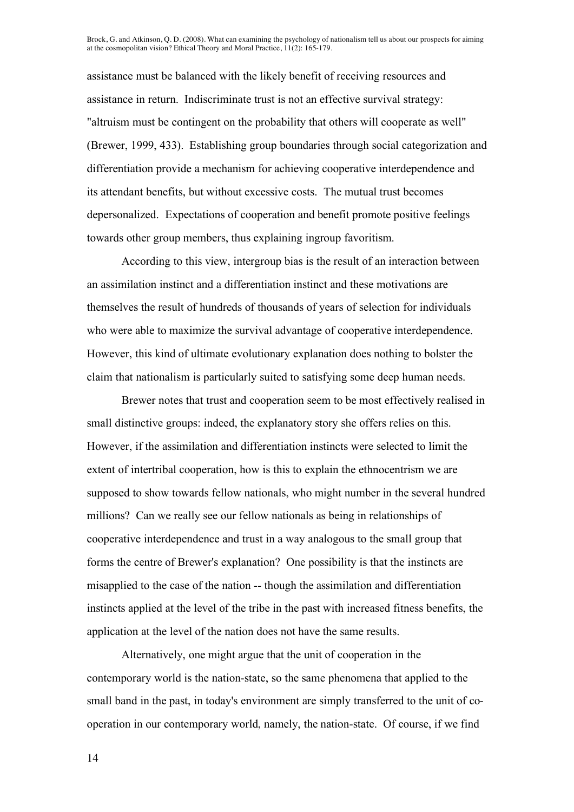assistance must be balanced with the likely benefit of receiving resources and assistance in return. Indiscriminate trust is not an effective survival strategy: "altruism must be contingent on the probability that others will cooperate as well" (Brewer, 1999, 433). Establishing group boundaries through social categorization and differentiation provide a mechanism for achieving cooperative interdependence and its attendant benefits, but without excessive costs. The mutual trust becomes depersonalized. Expectations of cooperation and benefit promote positive feelings towards other group members, thus explaining ingroup favoritism.

According to this view, intergroup bias is the result of an interaction between an assimilation instinct and a differentiation instinct and these motivations are themselves the result of hundreds of thousands of years of selection for individuals who were able to maximize the survival advantage of cooperative interdependence. However, this kind of ultimate evolutionary explanation does nothing to bolster the claim that nationalism is particularly suited to satisfying some deep human needs.

Brewer notes that trust and cooperation seem to be most effectively realised in small distinctive groups: indeed, the explanatory story she offers relies on this. However, if the assimilation and differentiation instincts were selected to limit the extent of intertribal cooperation, how is this to explain the ethnocentrism we are supposed to show towards fellow nationals, who might number in the several hundred millions? Can we really see our fellow nationals as being in relationships of cooperative interdependence and trust in a way analogous to the small group that forms the centre of Brewer's explanation? One possibility is that the instincts are misapplied to the case of the nation -- though the assimilation and differentiation instincts applied at the level of the tribe in the past with increased fitness benefits, the application at the level of the nation does not have the same results.

Alternatively, one might argue that the unit of cooperation in the contemporary world is the nation-state, so the same phenomena that applied to the small band in the past, in today's environment are simply transferred to the unit of cooperation in our contemporary world, namely, the nation-state. Of course, if we find

14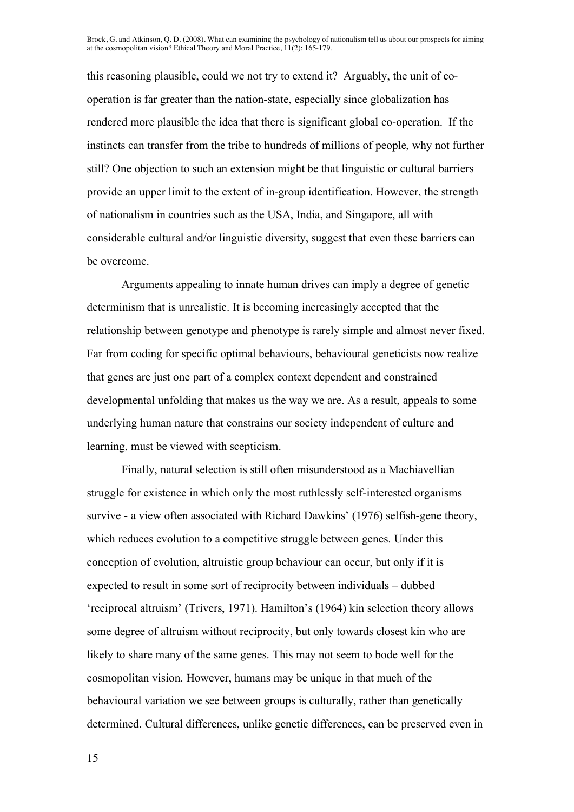this reasoning plausible, could we not try to extend it? Arguably, the unit of cooperation is far greater than the nation-state, especially since globalization has rendered more plausible the idea that there is significant global co-operation. If the instincts can transfer from the tribe to hundreds of millions of people, why not further still? One objection to such an extension might be that linguistic or cultural barriers provide an upper limit to the extent of in-group identification. However, the strength of nationalism in countries such as the USA, India, and Singapore, all with considerable cultural and/or linguistic diversity, suggest that even these barriers can be overcome.

Arguments appealing to innate human drives can imply a degree of genetic determinism that is unrealistic. It is becoming increasingly accepted that the relationship between genotype and phenotype is rarely simple and almost never fixed. Far from coding for specific optimal behaviours, behavioural geneticists now realize that genes are just one part of a complex context dependent and constrained developmental unfolding that makes us the way we are. As a result, appeals to some underlying human nature that constrains our society independent of culture and learning, must be viewed with scepticism.

Finally, natural selection is still often misunderstood as a Machiavellian struggle for existence in which only the most ruthlessly self-interested organisms survive - a view often associated with Richard Dawkins' (1976) selfish-gene theory, which reduces evolution to a competitive struggle between genes. Under this conception of evolution, altruistic group behaviour can occur, but only if it is expected to result in some sort of reciprocity between individuals – dubbed 'reciprocal altruism' (Trivers, 1971). Hamilton's (1964) kin selection theory allows some degree of altruism without reciprocity, but only towards closest kin who are likely to share many of the same genes. This may not seem to bode well for the cosmopolitan vision. However, humans may be unique in that much of the behavioural variation we see between groups is culturally, rather than genetically determined. Cultural differences, unlike genetic differences, can be preserved even in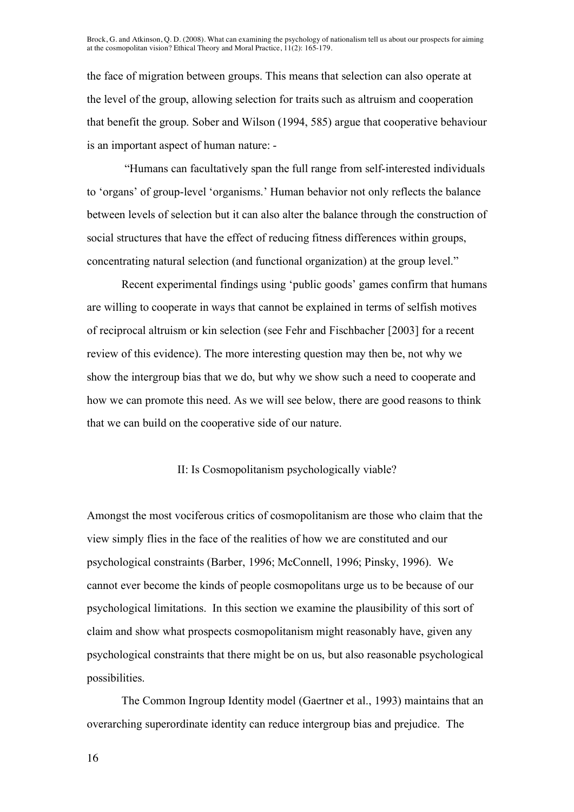the face of migration between groups. This means that selection can also operate at the level of the group, allowing selection for traits such as altruism and cooperation that benefit the group. Sober and Wilson (1994, 585) argue that cooperative behaviour is an important aspect of human nature: -

 "Humans can facultatively span the full range from self-interested individuals to 'organs' of group-level 'organisms.' Human behavior not only reflects the balance between levels of selection but it can also alter the balance through the construction of social structures that have the effect of reducing fitness differences within groups, concentrating natural selection (and functional organization) at the group level."

Recent experimental findings using 'public goods' games confirm that humans are willing to cooperate in ways that cannot be explained in terms of selfish motives of reciprocal altruism or kin selection (see Fehr and Fischbacher [2003] for a recent review of this evidence). The more interesting question may then be, not why we show the intergroup bias that we do, but why we show such a need to cooperate and how we can promote this need. As we will see below, there are good reasons to think that we can build on the cooperative side of our nature.

## II: Is Cosmopolitanism psychologically viable?

Amongst the most vociferous critics of cosmopolitanism are those who claim that the view simply flies in the face of the realities of how we are constituted and our psychological constraints (Barber, 1996; McConnell, 1996; Pinsky, 1996). We cannot ever become the kinds of people cosmopolitans urge us to be because of our psychological limitations. In this section we examine the plausibility of this sort of claim and show what prospects cosmopolitanism might reasonably have, given any psychological constraints that there might be on us, but also reasonable psychological possibilities.

The Common Ingroup Identity model (Gaertner et al., 1993) maintains that an overarching superordinate identity can reduce intergroup bias and prejudice. The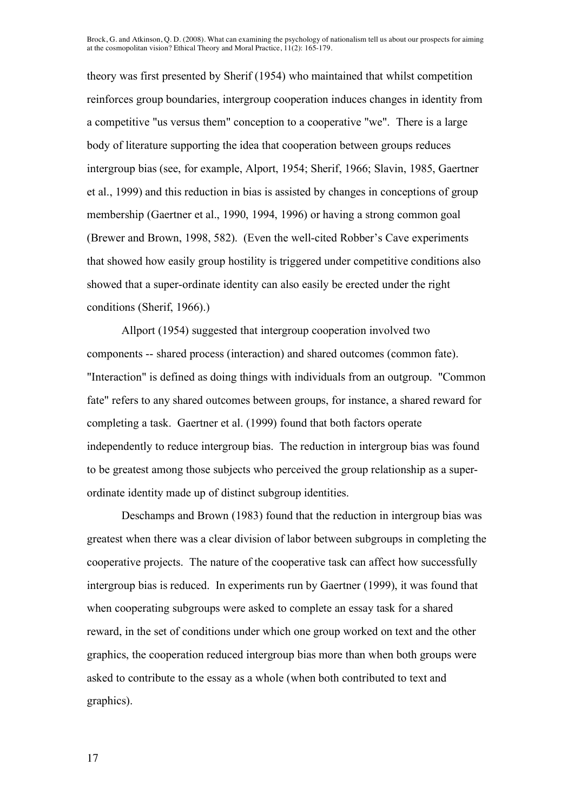theory was first presented by Sherif (1954) who maintained that whilst competition reinforces group boundaries, intergroup cooperation induces changes in identity from a competitive "us versus them" conception to a cooperative "we". There is a large body of literature supporting the idea that cooperation between groups reduces intergroup bias (see, for example, Alport, 1954; Sherif, 1966; Slavin, 1985, Gaertner et al., 1999) and this reduction in bias is assisted by changes in conceptions of group membership (Gaertner et al., 1990, 1994, 1996) or having a strong common goal (Brewer and Brown, 1998, 582). (Even the well-cited Robber's Cave experiments that showed how easily group hostility is triggered under competitive conditions also showed that a super-ordinate identity can also easily be erected under the right conditions (Sherif, 1966).)

Allport (1954) suggested that intergroup cooperation involved two components -- shared process (interaction) and shared outcomes (common fate). "Interaction" is defined as doing things with individuals from an outgroup. "Common fate" refers to any shared outcomes between groups, for instance, a shared reward for completing a task. Gaertner et al. (1999) found that both factors operate independently to reduce intergroup bias. The reduction in intergroup bias was found to be greatest among those subjects who perceived the group relationship as a superordinate identity made up of distinct subgroup identities.

Deschamps and Brown (1983) found that the reduction in intergroup bias was greatest when there was a clear division of labor between subgroups in completing the cooperative projects. The nature of the cooperative task can affect how successfully intergroup bias is reduced. In experiments run by Gaertner (1999), it was found that when cooperating subgroups were asked to complete an essay task for a shared reward, in the set of conditions under which one group worked on text and the other graphics, the cooperation reduced intergroup bias more than when both groups were asked to contribute to the essay as a whole (when both contributed to text and graphics).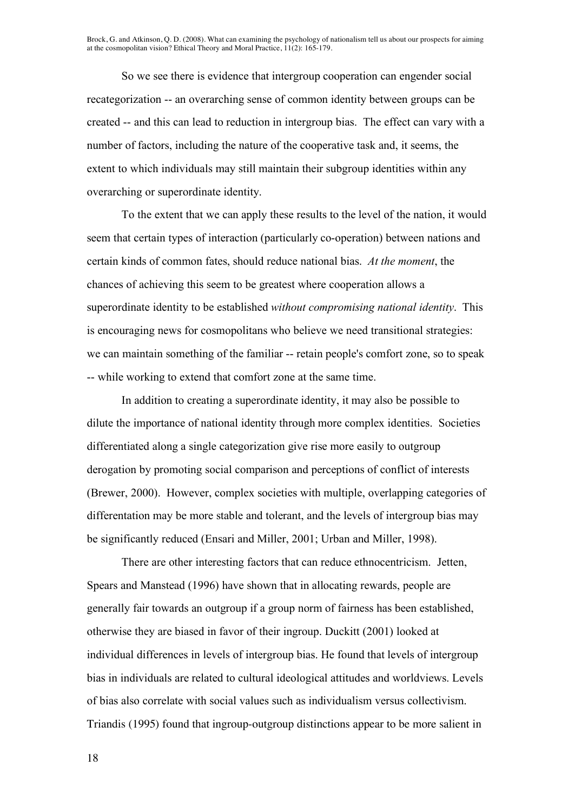So we see there is evidence that intergroup cooperation can engender social recategorization -- an overarching sense of common identity between groups can be created -- and this can lead to reduction in intergroup bias. The effect can vary with a number of factors, including the nature of the cooperative task and, it seems, the extent to which individuals may still maintain their subgroup identities within any overarching or superordinate identity.

To the extent that we can apply these results to the level of the nation, it would seem that certain types of interaction (particularly co-operation) between nations and certain kinds of common fates, should reduce national bias. *At the moment*, the chances of achieving this seem to be greatest where cooperation allows a superordinate identity to be established *without compromising national identity*. This is encouraging news for cosmopolitans who believe we need transitional strategies: we can maintain something of the familiar -- retain people's comfort zone, so to speak -- while working to extend that comfort zone at the same time.

In addition to creating a superordinate identity, it may also be possible to dilute the importance of national identity through more complex identities. Societies differentiated along a single categorization give rise more easily to outgroup derogation by promoting social comparison and perceptions of conflict of interests (Brewer, 2000). However, complex societies with multiple, overlapping categories of differentation may be more stable and tolerant, and the levels of intergroup bias may be significantly reduced (Ensari and Miller, 2001; Urban and Miller, 1998).

There are other interesting factors that can reduce ethnocentricism. Jetten, Spears and Manstead (1996) have shown that in allocating rewards, people are generally fair towards an outgroup if a group norm of fairness has been established, otherwise they are biased in favor of their ingroup. Duckitt (2001) looked at individual differences in levels of intergroup bias. He found that levels of intergroup bias in individuals are related to cultural ideological attitudes and worldviews. Levels of bias also correlate with social values such as individualism versus collectivism. Triandis (1995) found that ingroup-outgroup distinctions appear to be more salient in

18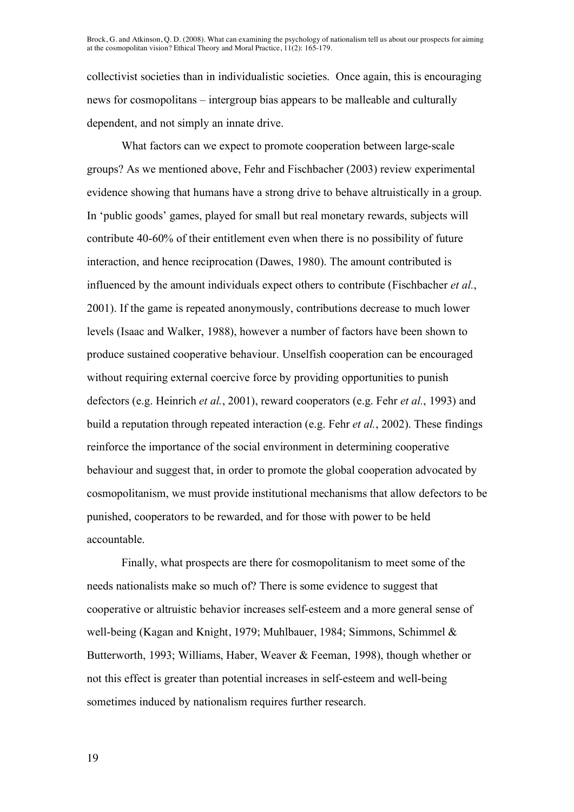collectivist societies than in individualistic societies. Once again, this is encouraging news for cosmopolitans – intergroup bias appears to be malleable and culturally dependent, and not simply an innate drive.

What factors can we expect to promote cooperation between large-scale groups? As we mentioned above, Fehr and Fischbacher (2003) review experimental evidence showing that humans have a strong drive to behave altruistically in a group. In 'public goods' games, played for small but real monetary rewards, subjects will contribute 40-60% of their entitlement even when there is no possibility of future interaction, and hence reciprocation (Dawes, 1980). The amount contributed is influenced by the amount individuals expect others to contribute (Fischbacher *et al.*, 2001). If the game is repeated anonymously, contributions decrease to much lower levels (Isaac and Walker, 1988), however a number of factors have been shown to produce sustained cooperative behaviour. Unselfish cooperation can be encouraged without requiring external coercive force by providing opportunities to punish defectors (e.g. Heinrich *et al.*, 2001), reward cooperators (e.g. Fehr *et al.*, 1993) and build a reputation through repeated interaction (e.g. Fehr *et al.*, 2002). These findings reinforce the importance of the social environment in determining cooperative behaviour and suggest that, in order to promote the global cooperation advocated by cosmopolitanism, we must provide institutional mechanisms that allow defectors to be punished, cooperators to be rewarded, and for those with power to be held accountable.

Finally, what prospects are there for cosmopolitanism to meet some of the needs nationalists make so much of? There is some evidence to suggest that cooperative or altruistic behavior increases self-esteem and a more general sense of well-being (Kagan and Knight, 1979; Muhlbauer, 1984; Simmons, Schimmel & Butterworth, 1993; Williams, Haber, Weaver & Feeman, 1998), though whether or not this effect is greater than potential increases in self-esteem and well-being sometimes induced by nationalism requires further research.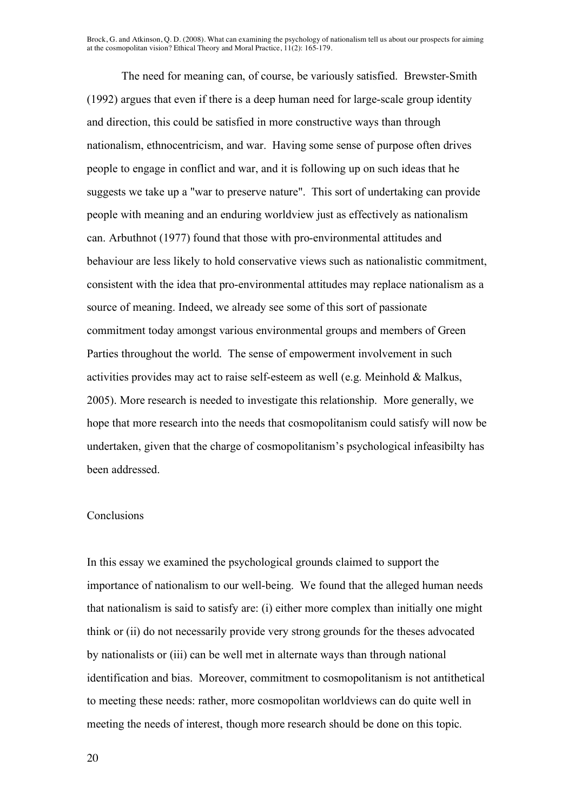The need for meaning can, of course, be variously satisfied. Brewster-Smith (1992) argues that even if there is a deep human need for large-scale group identity and direction, this could be satisfied in more constructive ways than through nationalism, ethnocentricism, and war. Having some sense of purpose often drives people to engage in conflict and war, and it is following up on such ideas that he suggests we take up a "war to preserve nature". This sort of undertaking can provide people with meaning and an enduring worldview just as effectively as nationalism can. Arbuthnot (1977) found that those with pro-environmental attitudes and behaviour are less likely to hold conservative views such as nationalistic commitment, consistent with the idea that pro-environmental attitudes may replace nationalism as a source of meaning. Indeed, we already see some of this sort of passionate commitment today amongst various environmental groups and members of Green Parties throughout the world. The sense of empowerment involvement in such activities provides may act to raise self-esteem as well (e.g. Meinhold & Malkus, 2005). More research is needed to investigate this relationship. More generally, we hope that more research into the needs that cosmopolitanism could satisfy will now be undertaken, given that the charge of cosmopolitanism's psychological infeasibilty has been addressed.

## Conclusions

In this essay we examined the psychological grounds claimed to support the importance of nationalism to our well-being. We found that the alleged human needs that nationalism is said to satisfy are: (i) either more complex than initially one might think or (ii) do not necessarily provide very strong grounds for the theses advocated by nationalists or (iii) can be well met in alternate ways than through national identification and bias. Moreover, commitment to cosmopolitanism is not antithetical to meeting these needs: rather, more cosmopolitan worldviews can do quite well in meeting the needs of interest, though more research should be done on this topic.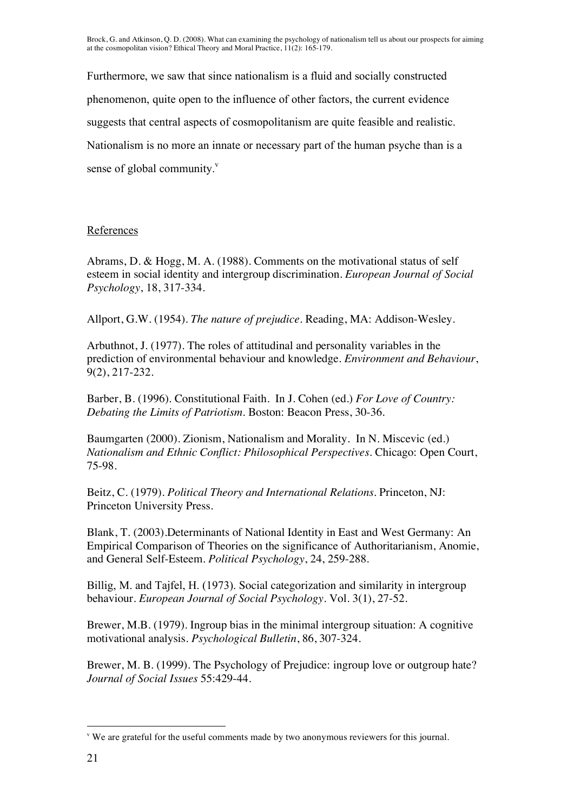Furthermore, we saw that since nationalism is a fluid and socially constructed phenomenon, quite open to the influence of other factors, the current evidence suggests that central aspects of cosmopolitanism are quite feasible and realistic. Nationalism is no more an innate or necessary part of the human psyche than is a sense of global community. $v$ 

# References

Abrams, D. & Hogg, M. A. (1988). Comments on the motivational status of self esteem in social identity and intergroup discrimination. *European Journal of Social Psychology*, 18, 317-334.

Allport, G.W. (1954). *The nature of prejudice*. Reading, MA: Addison-Wesley.

Arbuthnot, J. (1977). The roles of attitudinal and personality variables in the prediction of environmental behaviour and knowledge. *Environment and Behaviour*, 9(2), 217-232.

Barber, B. (1996). Constitutional Faith. In J. Cohen (ed.) *For Love of Country: Debating the Limits of Patriotism*. Boston: Beacon Press, 30-36.

Baumgarten (2000). Zionism, Nationalism and Morality. In N. Miscevic (ed.) *Nationalism and Ethnic Conflict: Philosophical Perspectives*. Chicago: Open Court, 75-98.

Beitz, C. (1979). *Political Theory and International Relations*. Princeton, NJ: Princeton University Press.

Blank, T. (2003).Determinants of National Identity in East and West Germany: An Empirical Comparison of Theories on the significance of Authoritarianism, Anomie, and General Self-Esteem. *Political Psychology*, 24, 259-288.

Billig, M. and Tajfel, H. (1973). Social categorization and similarity in intergroup behaviour. *European Journal of Social Psychology.* Vol. 3(1), 27-52.

Brewer, M.B. (1979). Ingroup bias in the minimal intergroup situation: A cognitive motivational analysis. *Psychological Bulletin*, 86, 307-324.

Brewer, M. B. (1999). The Psychology of Prejudice: ingroup love or outgroup hate? *Journal of Social Issues* 55:429-44.

l<br>v We are grateful for the useful comments made by two anonymous reviewers for this journal.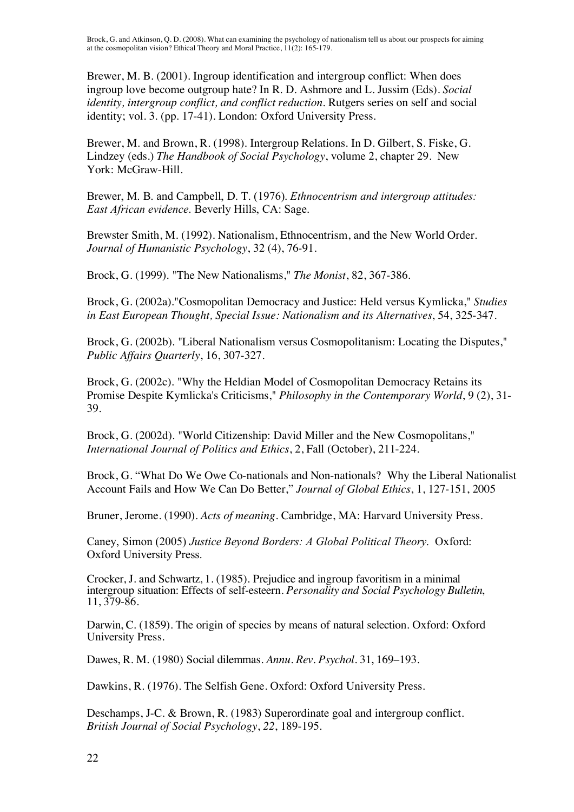Brewer, M. B. (2001). Ingroup identification and intergroup conflict: When does ingroup love become outgroup hate? In R. D. Ashmore and L. Jussim (Eds). *Social identity, intergroup conflict, and conflict reduction*. Rutgers series on self and social identity; vol. 3. (pp. 17-41). London: Oxford University Press.

Brewer, M. and Brown, R. (1998). Intergroup Relations. In D. Gilbert, S. Fiske, G. Lindzey (eds.) *The Handbook of Social Psychology*, volume 2, chapter 29. New York: McGraw-Hill.

Brewer, M. B. and Campbell, D. T. (1976). *Ethnocentrism and intergroup attitudes: East African evidence*. Beverly Hills, CA: Sage.

Brewster Smith, M. (1992). Nationalism, Ethnocentrism, and the New World Order. *Journal of Humanistic Psychology*, 32 (4), 76-91.

Brock, G. (1999). "The New Nationalisms," *The Monist*, 82, 367-386.

Brock, G. (2002a)."Cosmopolitan Democracy and Justice: Held versus Kymlicka," *Studies in East European Thought, Special Issue: Nationalism and its Alternatives*, 54, 325-347.

Brock, G. (2002b). "Liberal Nationalism versus Cosmopolitanism: Locating the Disputes," *Public Affairs Quarterly*, 16, 307-327.

Brock, G. (2002c). "Why the Heldian Model of Cosmopolitan Democracy Retains its Promise Despite Kymlicka's Criticisms," *Philosophy in the Contemporary World*, 9 (2), 31- 39.

Brock, G. (2002d). "World Citizenship: David Miller and the New Cosmopolitans," *International Journal of Politics and Ethics*, 2, Fall (October), 211-224.

Brock, G. "What Do We Owe Co-nationals and Non-nationals? Why the Liberal Nationalist Account Fails and How We Can Do Better," *Journal of Global Ethics*, 1, 127-151, 2005

Bruner, Jerome. (1990). *Acts of meaning.* Cambridge, MA: Harvard University Press.

Caney, Simon (2005) *Justice Beyond Borders: A Global Political Theory*. Oxford: Oxford University Press.

Crocker, J. and Schwartz, 1. (1985). Prejudice and ingroup favoritism in a minimal intergroup situation: Effects of self-esteern. *Personality and Social Psychology Bulletin*, 11, 379-86.

Darwin, C. (1859). The origin of species by means of natural selection. Oxford: Oxford University Press.

Dawes, R. M. (1980) Social dilemmas. *Annu. Rev. Psychol.* 31, 169–193.

Dawkins, R. (1976). The Selfish Gene. Oxford: Oxford University Press.

Deschamps, J-C. & Brown, R. (1983) Superordinate goal and intergroup conflict. *British Journal of Social Psychology*, *22*, 189-195.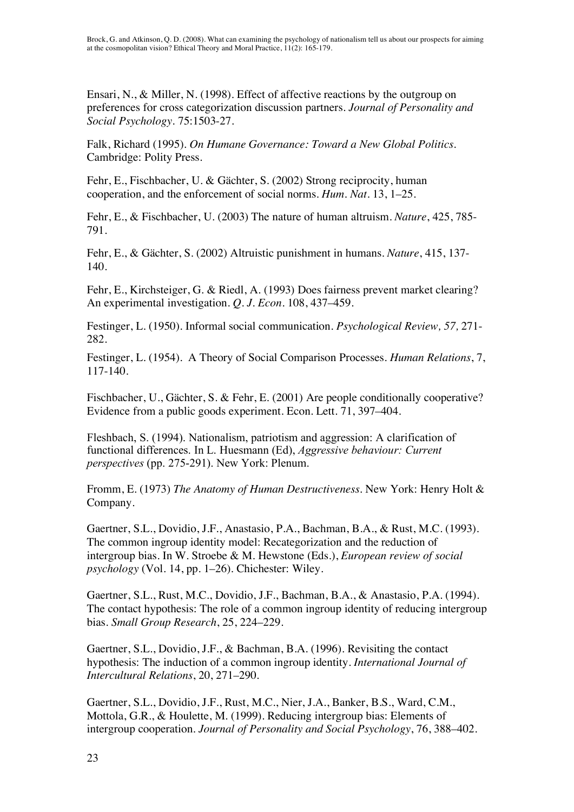Ensari, N., & Miller, N. (1998). Effect of affective reactions by the outgroup on preferences for cross categorization discussion partners. *Journal of Personality and Social Psychology*. 75:1503-27.

Falk, Richard (1995). *On Humane Governance: Toward a New Global Politics*. Cambridge: Polity Press.

Fehr, E., Fischbacher, U. & Gächter, S. (2002) Strong reciprocity, human cooperation, and the enforcement of social norms. *Hum. Nat.* 13, 1–25.

Fehr, E., & Fischbacher, U. (2003) The nature of human altruism. *Nature*, 425, 785- 791.

Fehr, E., & Gächter, S. (2002) Altruistic punishment in humans. *Nature*, 415, 137- 140.

Fehr, E., Kirchsteiger, G. & Riedl, A. (1993) Does fairness prevent market clearing? An experimental investigation. *Q. J. Econ.* 108, 437–459.

Festinger, L. (1950). Informal social communication. *Psychological Review, 57,* 271- 282.

Festinger, L. (1954). A Theory of Social Comparison Processes. *Human Relations*, 7, 117-140.

Fischbacher, U., Gächter, S. & Fehr, E. (2001) Are people conditionally cooperative? Evidence from a public goods experiment. Econ. Lett. 71, 397–404.

Fleshbach, S. (1994). Nationalism, patriotism and aggression: A clarification of functional differences. In L. Huesmann (Ed), *Aggressive behaviour: Current perspectives* (pp. 275-291). New York: Plenum.

Fromm, E. (1973) *The Anatomy of Human Destructiveness*. New York: Henry Holt & Company.

Gaertner, S.L., Dovidio, J.F., Anastasio, P.A., Bachman, B.A., & Rust, M.C. (1993). The common ingroup identity model: Recategorization and the reduction of intergroup bias. In W. Stroebe & M. Hewstone (Eds.), *European review of social psychology* (Vol. 14, pp. 1–26). Chichester: Wiley.

Gaertner, S.L., Rust, M.C., Dovidio, J.F., Bachman, B.A., & Anastasio, P.A. (1994). The contact hypothesis: The role of a common ingroup identity of reducing intergroup bias. *Small Group Research*, 25, 224–229.

Gaertner, S.L., Dovidio, J.F., & Bachman, B.A. (1996). Revisiting the contact hypothesis: The induction of a common ingroup identity. *International Journal of Intercultural Relations*, 20, 271–290.

Gaertner, S.L., Dovidio, J.F., Rust, M.C., Nier, J.A., Banker, B.S., Ward, C.M., Mottola, G.R., & Houlette, M. (1999). Reducing intergroup bias: Elements of intergroup cooperation. *Journal of Personality and Social Psychology*, 76, 388–402.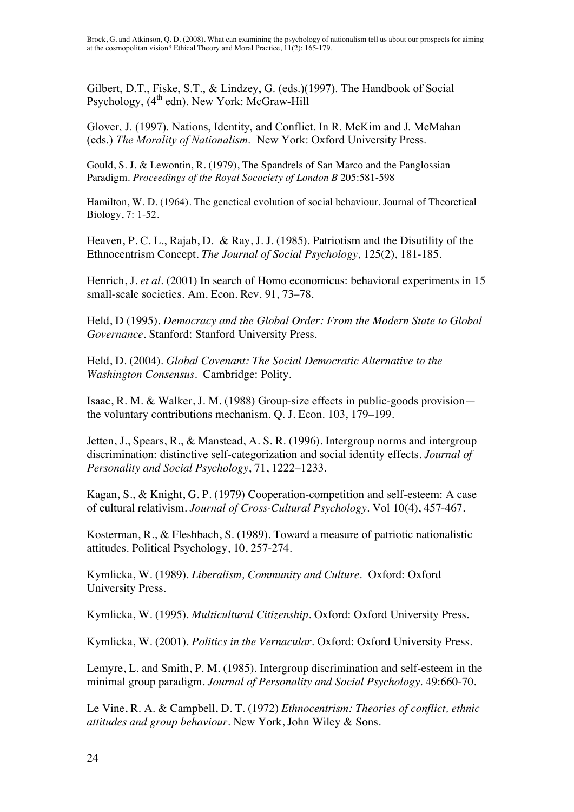Gilbert, D.T., Fiske, S.T., & Lindzey, G. (eds.)(1997). The Handbook of Social Psychology,  $(4<sup>th</sup>$  edn). New York: McGraw-Hill

Glover, J. (1997). Nations, Identity, and Conflict. In R. McKim and J. McMahan (eds.) *The Morality of Nationalism*. New York: Oxford University Press.

Gould, S. J. & Lewontin, R. (1979), The Spandrels of San Marco and the Panglossian Paradigm. *Proceedings of the Royal Socociety of London B* 205:581-598

Hamilton, W. D. (1964). The genetical evolution of social behaviour. Journal of Theoretical Biology, 7: 1-52.

Heaven, P. C. L., Rajab, D. & Ray, J. J. (1985). Patriotism and the Disutility of the Ethnocentrism Concept. *The Journal of Social Psychology*, 125(2), 181-185.

Henrich, J. *et al.* (2001) In search of Homo economicus: behavioral experiments in 15 small-scale societies. Am. Econ. Rev. 91, 73–78.

Held, D (1995). *Democracy and the Global Order: From the Modern State to Global Governance*. Stanford: Stanford University Press.

Held, D. (2004). *Global Covenant: The Social Democratic Alternative to the Washington Consensus*. Cambridge: Polity.

Isaac, R. M. & Walker, J. M. (1988) Group-size effects in public-goods provision the voluntary contributions mechanism. Q. J. Econ. 103, 179–199.

Jetten, J., Spears, R., & Manstead, A. S. R. (1996). Intergroup norms and intergroup discrimination: distinctive self-categorization and social identity effects. *Journal of Personality and Social Psychology*, 71, 1222–1233.

Kagan, S., & Knight, G. P. (1979) Cooperation-competition and self-esteem: A case of cultural relativism. *Journal of Cross-Cultural Psychology*. Vol 10(4), 457-467.

Kosterman, R., & Fleshbach, S. (1989). Toward a measure of patriotic nationalistic attitudes. Political Psychology, 10, 257-274.

Kymlicka, W. (1989). *Liberalism, Community and Culture*. Oxford: Oxford University Press.

Kymlicka, W. (1995). *Multicultural Citizenship*. Oxford: Oxford University Press.

Kymlicka, W. (2001). *Politics in the Vernacular*. Oxford: Oxford University Press.

Lemyre, L. and Smith, P. M. (1985). Intergroup discrimination and self-esteem in the minimal group paradigm. *Journal of Personality and Social Psychology*. 49:660-70.

Le Vine, R. A. & Campbell, D. T. (1972) *Ethnocentrism: Theories of conflict, ethnic attitudes and group behaviour.* New York, John Wiley & Sons.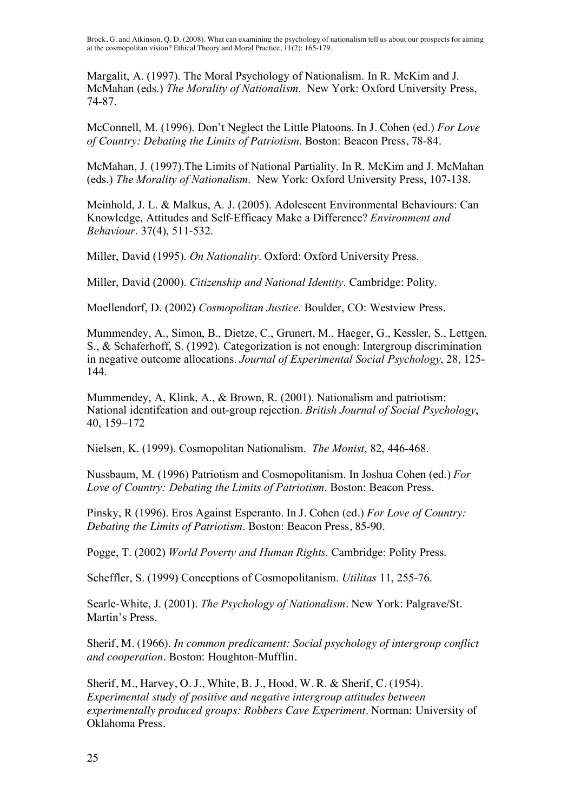Margalit, A. (1997). The Moral Psychology of Nationalism. In R. McKim and J. McMahan (eds.) *The Morality of Nationalism*. New York: Oxford University Press, 74-87.

McConnell, M. (1996). Don't Neglect the Little Platoons. In J. Cohen (ed.) *For Love of Country: Debating the Limits of Patriotism*. Boston: Beacon Press, 78-84.

McMahan, J. (1997).The Limits of National Partiality. In R. McKim and J. McMahan (eds.) *The Morality of Nationalism*. New York: Oxford University Press, 107-138.

Meinhold, J. L. & Malkus, A. J. (2005). Adolescent Environmental Behaviours: Can Knowledge, Attitudes and Self-Efficacy Make a Difference? *Environment and Behaviour*. 37(4), 511-532.

Miller, David (1995). *On Nationality*. Oxford: Oxford University Press.

Miller, David (2000). *Citizenship and National Identity*. Cambridge: Polity.

Moellendorf, D. (2002) *Cosmopolitan Justice*. Boulder, CO: Westview Press.

Mummendey, A., Simon, B., Dietze, C., Grunert, M., Haeger, G., Kessler, S., Lettgen, S., & Schaferhoff, S. (1992). Categorization is not enough: Intergroup discrimination in negative outcome allocations. *Journal of Experimental Social Psychology*, 28, 125- 144.

Mummendey, A, Klink, A., & Brown, R. (2001). Nationalism and patriotism: National identifcation and out-group rejection. *British Journal of Social Psychology*, 40, 159–172

Nielsen, K. (1999). Cosmopolitan Nationalism. *The Monist*, 82, 446-468.

Nussbaum, M. (1996) Patriotism and Cosmopolitanism. In Joshua Cohen (ed.) *For Love of Country: Debating the Limits of Patriotism*. Boston: Beacon Press.

Pinsky, R (1996). Eros Against Esperanto. In J. Cohen (ed.) *For Love of Country: Debating the Limits of Patriotism*. Boston: Beacon Press, 85-90.

Pogge, T. (2002) *World Poverty and Human Rights*. Cambridge: Polity Press.

Scheffler, S. (1999) Conceptions of Cosmopolitanism. *Utilitas* 11, 255-76.

Searle-White, J. (2001). *The Psychology of Nationalism*. New York: Palgrave/St. Martin's Press.

Sherif, M. (1966). *In common predicament: Social psychology of intergroup conflict and cooperation*. Boston: Houghton-Mufflin.

Sherif, M., Harvey, O. J., White, B. J., Hood, W. R. & Sherif, C. (1954). *Experimental study of positive and negative intergroup attitudes between experimentally produced groups: Robbers Cave Experiment*. Norman: University of Oklahoma Press.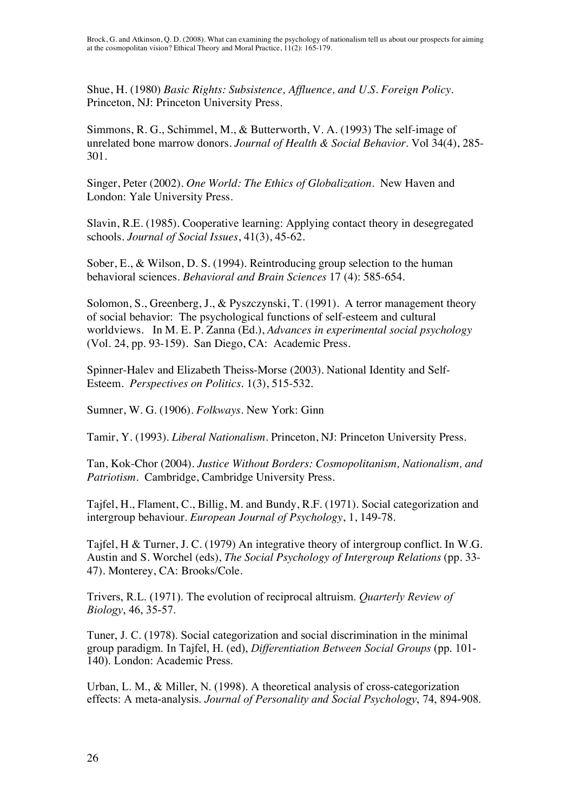Shue, H. (1980) *Basic Rights: Subsistence, Affluence, and U.S. Foreign Policy*. Princeton, NJ: Princeton University Press.

Simmons, R. G., Schimmel, M., & Butterworth, V. A. (1993) The self-image of unrelated bone marrow donors. *Journal of Health & Social Behavior*. Vol 34(4), 285- 301.

Singer, Peter (2002). *One World: The Ethics of Globalization*. New Haven and London: Yale University Press.

Slavin, R.E. (1985). Cooperative learning: Applying contact theory in desegregated schools. *Journal of Social Issues*, 41(3), 45-62.

Sober, E., & Wilson, D. S. (1994). Reintroducing group selection to the human behavioral sciences. *Behavioral and Brain Sciences* 17 (4): 585-654.

Solomon, S., Greenberg, J., & Pyszczynski, T. (1991). A terror management theory of social behavior: The psychological functions of self-esteem and cultural worldviews. In M. E. P. Zanna (Ed.), *Advances in experimental social psychology* (Vol. 24, pp. 93-159). San Diego, CA: Academic Press.

Spinner-Halev and Elizabeth Theiss-Morse (2003). National Identity and Self-Esteem. *Perspectives on Politics*. 1(3), 515-532.

Sumner, W. G. (1906). *Folkways*. New York: Ginn

Tamir, Y. (1993). *Liberal Nationalism*. Princeton, NJ: Princeton University Press.

Tan, Kok-Chor (2004). *Justice Without Borders: Cosmopolitanism, Nationalism, and Patriotism*. Cambridge, Cambridge University Press.

Tajfel, H., Flament, C., Billig, M. and Bundy, R.F. (1971). Social categorization and intergroup behaviour. *European Journal of Psychology*, 1, 149-78.

Tajfel, H & Turner, J. C. (1979) An integrative theory of intergroup conflict. In W.G. Austin and S. Worchel (eds), *The Social Psychology of Intergroup Relations* (pp. 33- 47). Monterey, CA: Brooks/Cole.

Trivers, R.L. (1971). The evolution of reciprocal altruism. *Quarterly Review of Biology*, 46, 35-57.

Tuner, J. C. (1978). Social categorization and social discrimination in the minimal group paradigm. In Tajfel, H. (ed), *Differentiation Between Social Groups* (pp. 101- 140). London: Academic Press.

Urban, L. M., & Miller, N. (1998). A theoretical analysis of cross-categorization effects: A meta-analysis. *Journal of Personality and Social Psychology*, 74, 894-908.